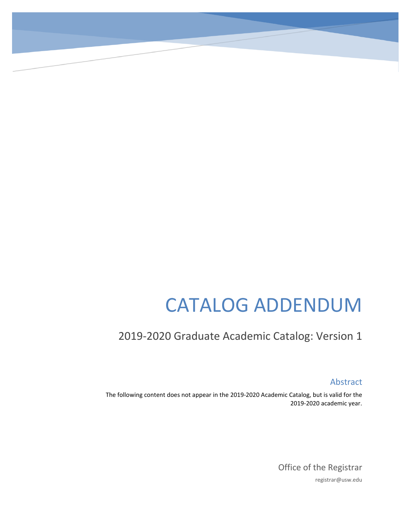# CATALOG ADDENDUM

# 2019-2020 Graduate Academic Catalog: Version 1

Abstract

The following content does not appear in the 2019-2020 Academic Catalog, but is valid for the 2019-2020 academic year.

> Office of the Registrar registrar@usw.edu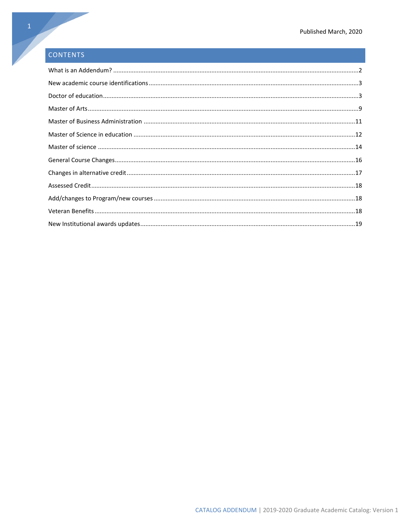# CONTENTS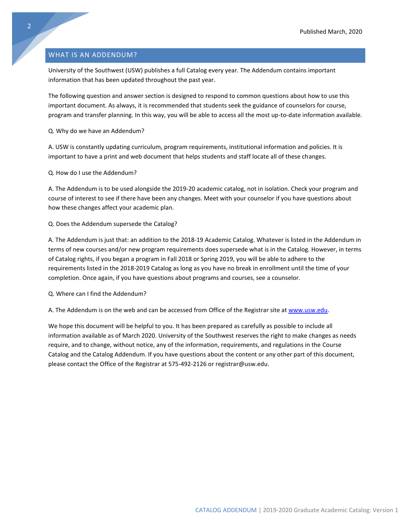# <span id="page-2-0"></span>WHAT IS AN ADDENDUM?

University of the Southwest (USW) publishes a full Catalog every year. The Addendum contains important information that has been updated throughout the past year.

The following question and answer section is designed to respond to common questions about how to use this important document. As always, it is recommended that students seek the guidance of counselors for course, program and transfer planning. In this way, you will be able to access all the most up-to-date information available.

Q. Why do we have an Addendum?

A. USW is constantly updating curriculum, program requirements, institutional information and policies. It is important to have a print and web document that helps students and staff locate all of these changes.

Q. How do I use the Addendum?

A. The Addendum is to be used alongside the 2019-20 academic catalog, not in isolation. Check your program and course of interest to see if there have been any changes. Meet with your counselor if you have questions about how these changes affect your academic plan.

# Q. Does the Addendum supersede the Catalog?

A. The Addendum is just that: an addition to the 2018-19 Academic Catalog. Whatever is listed in the Addendum in terms of new courses and/or new program requirements does supersede what is in the Catalog. However, in terms of Catalog rights, if you began a program in Fall 2018 or Spring 2019, you will be able to adhere to the requirements listed in the 2018-2019 Catalog as long as you have no break in enrollment until the time of your completion. Once again, if you have questions about programs and courses, see a counselor.

Q. Where can I find the Addendum?

A. The Addendum is on the web and can be accessed from Office of the Registrar site at [www.usw.edu.](http://www.usw.edu/)

We hope this document will be helpful to you. It has been prepared as carefully as possible to include all information available as of March 2020. University of the Southwest reserves the right to make changes as needs require, and to change, without notice, any of the information, requirements, and regulations in the Course Catalog and the Catalog Addendum. If you have questions about the content or any other part of this document, please contact the Office of the Registrar at 575-492-2126 or registrar@usw.edu.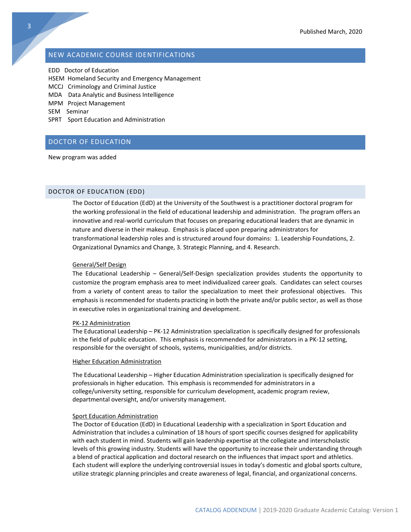# <span id="page-3-0"></span>NEW ACADEMIC COURSE IDENTIFICATIONS

EDD Doctor of Education

- HSEM Homeland Security and Emergency Management
- MCCJ Criminology and Criminal Justice
- MDA Data Analytic and Business Intelligence
- MPM Project Management
- SEM Seminar
- SPRT Sport Education and Administration

# <span id="page-3-1"></span>DOCTOR OF EDUCATION

New program was added

# DOCTOR OF EDUCATION (EDD)

The Doctor of Education (EdD) at the University of the Southwest is a practitioner doctoral program for the working professional in the field of educational leadership and administration. The program offers an innovative and real-world curriculum that focuses on preparing educational leaders that are dynamic in nature and diverse in their makeup. Emphasis is placed upon preparing administrators for transformational leadership roles and is structured around four domains: 1. Leadership Foundations, 2. Organizational Dynamics and Change, 3. Strategic Planning, and 4. Research.

# General/Self Design

The Educational Leadership – General/Self-Design specialization provides students the opportunity to customize the program emphasis area to meet individualized career goals. Candidates can select courses from a variety of content areas to tailor the specialization to meet their professional objectives. This emphasis is recommended for students practicing in both the private and/or public sector, as well as those in executive roles in organizational training and development.

#### PK-12 Administration

The Educational Leadership – PK-12 Administration specialization is specifically designed for professionals in the field of public education. This emphasis is recommended for administrators in a PK-12 setting, responsible for the oversight of schools, systems, municipalities, and/or districts.

# Higher Education Administration

The Educational Leadership – Higher Education Administration specialization is specifically designed for professionals in higher education. This emphasis is recommended for administrators in a college/university setting, responsible for curriculum development, academic program review, departmental oversight, and/or university management.

# Sport Education Administration

The Doctor of Education (EdD) in Educational Leadership with a specialization in Sport Education and Administration that includes a culmination of 18 hours of sport specific courses designed for applicability with each student in mind. Students will gain leadership expertise at the collegiate and interscholastic levels of this growing industry. Students will have the opportunity to increase their understanding through a blend of practical application and doctoral research on the influences that impact sport and athletics. Each student will explore the underlying controversial issues in today's domestic and global sports culture, utilize strategic planning principles and create awareness of legal, financial, and organizational concerns.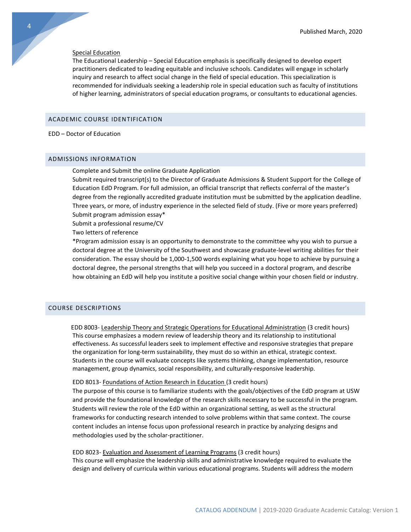#### Special Education

The Educational Leadership – Special Education emphasis is specifically designed to develop expert practitioners dedicated to leading equitable and inclusive schools. Candidates will engage in scholarly inquiry and research to affect social change in the field of special education. This specialization is recommended for individuals seeking a leadership role in special education such as faculty of institutions of higher learning, administrators of special education programs, or consultants to educational agencies.

# ACADEMIC COURSE IDENTIFICATION

# EDD – Doctor of Education

# ADMISSIONS INFORMATION

Complete and Submit the online Graduate Application

Submit required transcript(s) to the Director of Graduate Admissions & Student Support for the College of Education EdD Program. For full admission, an official transcript that reflects conferral of the master's degree from the regionally accredited graduate institution must be submitted by the application deadline. Three years, or more, of industry experience in the selected field of study. (Five or more years preferred) Submit program admission essay\*

Submit a professional resume/CV

Two letters of reference

\*Program admission essay is an opportunity to demonstrate to the committee why you wish to pursue a doctoral degree at the University of the Southwest and showcase graduate-level writing abilities for their consideration. The essay should be 1,000-1,500 words explaining what you hope to achieve by pursuing a doctoral degree, the personal strengths that will help you succeed in a doctoral program, and describe how obtaining an EdD will help you institute a positive social change within your chosen field or industry.

# COURSE DESCRIPTIONS

 EDD 8003- Leadership Theory and Strategic Operations for Educational Administration (3 credit hours) This course emphasizes a modern review of leadership theory and its relationship to institutional effectiveness. As successful leaders seek to implement effective and responsive strategies that prepare the organization for long-term sustainability, they must do so within an ethical, strategic context. Students in the course will evaluate concepts like systems thinking, change implementation, resource management, group dynamics, social responsibility, and culturally-responsive leadership.

#### EDD 8013- Foundations of Action Research in Education (3 credit hours)

The purpose of this course is to familiarize students with the goals/objectives of the EdD program at USW and provide the foundational knowledge of the research skills necessary to be successful in the program. Students will review the role of the EdD within an organizational setting, as well as the structural frameworks for conducting research intended to solve problems within that same context. The course content includes an intense focus upon professional research in practice by analyzing designs and methodologies used by the scholar-practitioner.

# EDD 8023- Evaluation and Assessment of Learning Programs (3 credit hours)

This course will emphasize the leadership skills and administrative knowledge required to evaluate the design and delivery of curricula within various educational programs. Students will address the modern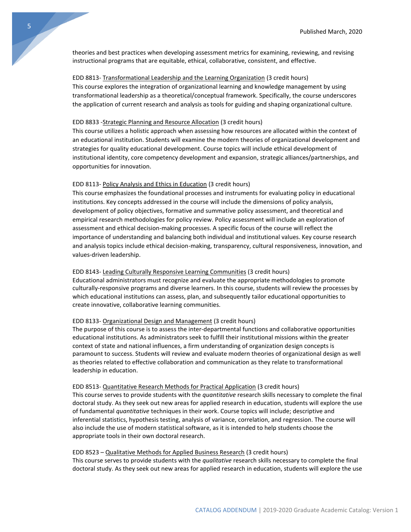theories and best practices when developing assessment metrics for examining, reviewing, and revising instructional programs that are equitable, ethical, collaborative, consistent, and effective.

# EDD 8813- Transformational Leadership and the Learning Organization (3 credit hours)

This course explores the integration of organizational learning and knowledge management by using transformational leadership as a theoretical/conceptual framework. Specifically, the course underscores the application of current research and analysis as tools for guiding and shaping organizational culture.

# EDD 8833 -Strategic Planning and Resource Allocation (3 credit hours)

This course utilizes a holistic approach when assessing how resources are allocated within the context of an educational institution. Students will examine the modern theories of organizational development and strategies for quality educational development. Course topics will include ethical development of institutional identity, core competency development and expansion, strategic alliances/partnerships, and opportunities for innovation.

# EDD 8113- Policy Analysis and Ethics in Education (3 credit hours)

This course emphasizes the foundational processes and instruments for evaluating policy in educational institutions. Key concepts addressed in the course will include the dimensions of policy analysis, development of policy objectives, formative and summative policy assessment, and theoretical and empirical research methodologies for policy review. Policy assessment will include an exploration of assessment and ethical decision-making processes. A specific focus of the course will reflect the importance of understanding and balancing both individual and institutional values. Key course research and analysis topics include ethical decision-making, transparency, cultural responsiveness, innovation, and values-driven leadership.

#### EDD 8143- Leading Culturally Responsive Learning Communities (3 credit hours)

Educational administrators must recognize and evaluate the appropriate methodologies to promote culturally-responsive programs and diverse learners. In this course, students will review the processes by which educational institutions can assess, plan, and subsequently tailor educational opportunities to create innovative, collaborative learning communities.

# EDD 8133- Organizational Design and Management (3 credit hours)

The purpose of this course is to assess the inter-departmental functions and collaborative opportunities educational institutions. As administrators seek to fulfill their institutional missions within the greater context of state and national influences, a firm understanding of organization design concepts is paramount to success. Students will review and evaluate modern theories of organizational design as well as theories related to effective collaboration and communication as they relate to transformational leadership in education.

# EDD 8513- Quantitative Research Methods for Practical Application (3 credit hours)

This course serves to provide students with the *quantitative* research skills necessary to complete the final doctoral study. As they seek out new areas for applied research in education, students will explore the use of fundamental *quantitative* techniques in their work. Course topics will include; descriptive and inferential statistics, hypothesis testing, analysis of variance, correlation, and regression. The course will also include the use of modern statistical software, as it is intended to help students choose the appropriate tools in their own doctoral research.

# EDD 8523 – Qualitative Methods for Applied Business Research (3 credit hours)

This course serves to provide students with the *qualitative* research skills necessary to complete the final doctoral study. As they seek out new areas for applied research in education, students will explore the use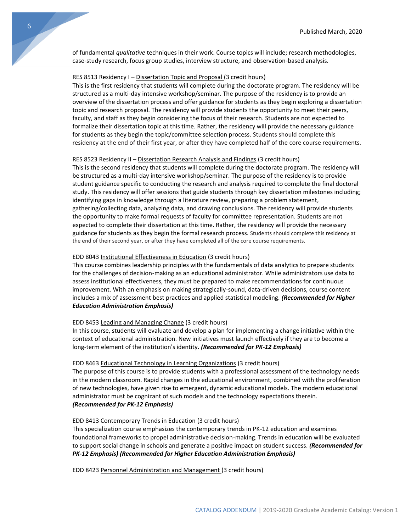of fundamental *qualitative* techniques in their work. Course topics will include; research methodologies, case-study research, focus group studies, interview structure, and observation-based analysis.

# RES 8513 Residency I - Dissertation Topic and Proposal (3 credit hours)

This is the first residency that students will complete during the doctorate program. The residency will be structured as a multi-day intensive workshop/seminar. The purpose of the residency is to provide an overview of the dissertation process and offer guidance for students as they begin exploring a dissertation topic and research proposal. The residency will provide students the opportunity to meet their peers, faculty, and staff as they begin considering the focus of their research. Students are not expected to formalize their dissertation topic at this time. Rather, the residency will provide the necessary guidance for students as they begin the topic/committee selection process. Students should complete this residency at the end of their first year, or after they have completed half of the core course requirements.

#### RES 8523 Residency II – Dissertation Research Analysis and Findings (3 credit hours)

This is the second residency that students will complete during the doctorate program. The residency will be structured as a multi-day intensive workshop/seminar. The purpose of the residency is to provide student guidance specific to conducting the research and analysis required to complete the final doctoral study. This residency will offer sessions that guide students through key dissertation milestones including; identifying gaps in knowledge through a literature review, preparing a problem statement, gathering/collecting data, analyzing data, and drawing conclusions. The residency will provide students the opportunity to make formal requests of faculty for committee representation. Students are not expected to complete their dissertation at this time. Rather, the residency will provide the necessary guidance for students as they begin the formal research process. Students should complete this residency at the end of their second year, or after they have completed all of the core course requirements.

#### EDD 8043 Institutional Effectiveness in Education (3 credit hours)

This course combines leadership principles with the fundamentals of data analytics to prepare students for the challenges of decision-making as an educational administrator. While administrators use data to assess institutional effectiveness, they must be prepared to make recommendations for continuous improvement. With an emphasis on making strategically-sound, data-driven decisions, course content includes a mix of assessment best practices and applied statistical modeling. *(Recommended for Higher Education Administration Emphasis)* 

#### EDD 8453 Leading and Managing Change (3 credit hours)

In this course, students will evaluate and develop a plan for implementing a change initiative within the context of educational administration. New initiatives must launch effectively if they are to become a long-term element of the institution's identity. *(Recommended for PK-12 Emphasis)* 

#### EDD 8463 Educational Technology in Learning Organizations (3 credit hours)

The purpose of this course is to provide students with a professional assessment of the technology needs in the modern classroom. Rapid changes in the educational environment, combined with the proliferation of new technologies, have given rise to emergent, dynamic educational models. The modern educational administrator must be cognizant of such models and the technology expectations therein. *(Recommended for PK-12 Emphasis)* 

# EDD 8413 Contemporary Trends in Education (3 credit hours)

This specialization course emphasizes the contemporary trends in PK-12 education and examines foundational frameworks to propel administrative decision-making. Trends in education will be evaluated to support social change in schools and generate a positive impact on student success. *(Recommended for PK-12 Emphasis) (Recommended for Higher Education Administration Emphasis)* 

EDD 8423 Personnel Administration and Management (3 credit hours)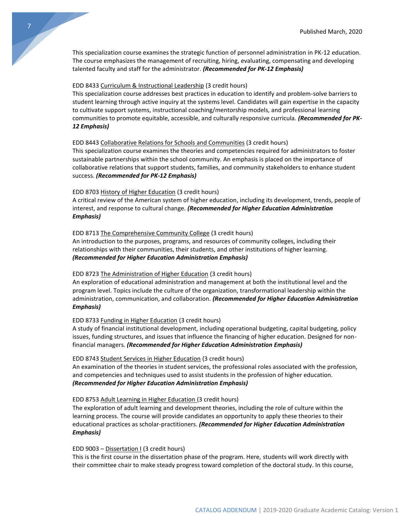This specialization course examines the strategic function of personnel administration in PK-12 education. The course emphasizes the management of recruiting, hiring, evaluating, compensating and developing talented faculty and staff for the administrator. *(Recommended for PK-12 Emphasis)* 

# EDD 8433 Curriculum & Instructional Leadership (3 credit hours)

This specialization course addresses best practices in education to identify and problem-solve barriers to student learning through active inquiry at the systems level. Candidates will gain expertise in the capacity to cultivate support systems, instructional coaching/mentorship models, and professional learning communities to promote equitable, accessible, and culturally responsive curricula. *(Recommended for PK-12 Emphasis)* 

# EDD 8443 Collaborative Relations for Schools and Communities (3 credit hours)

This specialization course examines the theories and competencies required for administrators to foster sustainable partnerships within the school community. An emphasis is placed on the importance of collaborative relations that support students, families, and community stakeholders to enhance student success. *(Recommended for PK-12 Emphasis)* 

# EDD 8703 History of Higher Education (3 credit hours)

A critical review of the American system of higher education, including its development, trends, people of interest, and response to cultural change. *(Recommended for Higher Education Administration Emphasis)* 

## EDD 8713 The Comprehensive Community College (3 credit hours)

An introduction to the purposes, programs, and resources of community colleges, including their relationships with their communities, their students, and other institutions of higher learning. *(Recommended for Higher Education Administration Emphasis)* 

#### EDD 8723 The Administration of Higher Education (3 credit hours)

An exploration of educational administration and management at both the institutional level and the program level. Topics include the culture of the organization, transformational leadership within the administration, communication, and collaboration. *(Recommended for Higher Education Administration Emphasis)* 

#### EDD 8733 Funding in Higher Education (3 credit hours)

A study of financial institutional development, including operational budgeting, capital budgeting, policy issues, funding structures, and issues that influence the financing of higher education. Designed for nonfinancial managers. *(Recommended for Higher Education Administration Emphasis)* 

# EDD 8743 Student Services in Higher Education (3 credit hours)

An examination of the theories in student services, the professional roles associated with the profession, and competencies and techniques used to assist students in the profession of higher education. *(Recommended for Higher Education Administration Emphasis)* 

#### EDD 8753 Adult Learning in Higher Education (3 credit hours)

The exploration of adult learning and development theories, including the role of culture within the learning process. The course will provide candidates an opportunity to apply these theories to their educational practices as scholar-practitioners. *(Recommended for Higher Education Administration Emphasis)* 

#### EDD 9003 – Dissertation I (3 credit hours)

This is the first course in the dissertation phase of the program. Here, students will work directly with their committee chair to make steady progress toward completion of the doctoral study. In this course,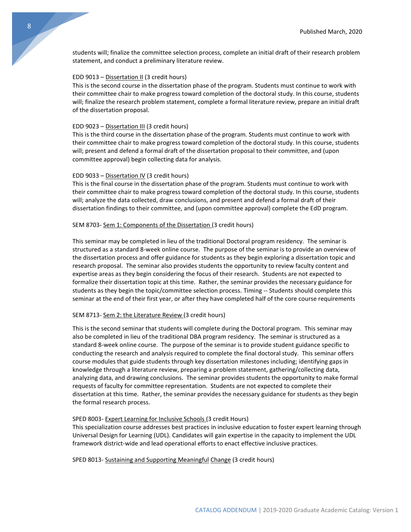students will; finalize the committee selection process, complete an initial draft of their research problem statement, and conduct a preliminary literature review.

# EDD 9013 – Dissertation II (3 credit hours)

This is the second course in the dissertation phase of the program. Students must continue to work with their committee chair to make progress toward completion of the doctoral study. In this course, students will; finalize the research problem statement, complete a formal literature review, prepare an initial draft of the dissertation proposal.

# EDD 9023 – Dissertation III (3 credit hours)

This is the third course in the dissertation phase of the program. Students must continue to work with their committee chair to make progress toward completion of the doctoral study. In this course, students will; present and defend a formal draft of the dissertation proposal to their committee, and (upon committee approval) begin collecting data for analysis.

#### EDD 9033 – Dissertation IV (3 credit hours)

This is the final course in the dissertation phase of the program. Students must continue to work with their committee chair to make progress toward completion of the doctoral study. In this course, students will; analyze the data collected, draw conclusions, and present and defend a formal draft of their dissertation findings to their committee, and (upon committee approval) complete the EdD program.

# SEM 8703- Sem 1: Components of the Dissertation (3 credit hours)

This seminar may be completed in lieu of the traditional Doctoral program residency. The seminar is structured as a standard 8-week online course. The purpose of the seminar is to provide an overview of the dissertation process and offer guidance for students as they begin exploring a dissertation topic and research proposal. The seminar also provides students the opportunity to review faculty content and expertise areas as they begin considering the focus of their research. Students are not expected to formalize their dissertation topic at this time. Rather, the seminar provides the necessary guidance for students as they begin the topic/committee selection process. Timing -- Students should complete this seminar at the end of their first year, or after they have completed half of the core course requirements

#### SEM 8713- Sem 2: the Literature Review (3 credit hours)

This is the second seminar that students will complete during the Doctoral program. This seminar may also be completed in lieu of the traditional DBA program residency. The seminar is structured as a standard 8-week online course. The purpose of the seminar is to provide student guidance specific to conducting the research and analysis required to complete the final doctoral study. This seminar offers course modules that guide students through key dissertation milestones including; identifying gaps in knowledge through a literature review, preparing a problem statement, gathering/collecting data, analyzing data, and drawing conclusions. The seminar provides students the opportunity to make formal requests of faculty for committee representation. Students are not expected to complete their dissertation at this time. Rather, the seminar provides the necessary guidance for students as they begin the formal research process.

# SPED 8003- Expert Learning for Inclusive Schools (3 credit Hours)

This specialization course addresses best practices in inclusive education to foster expert learning through Universal Design for Learning (UDL). Candidates will gain expertise in the capacity to implement the UDL framework district-wide and lead operational efforts to enact effective inclusive practices.

SPED 8013- Sustaining and Supporting Meaningful Change (3 credit hours)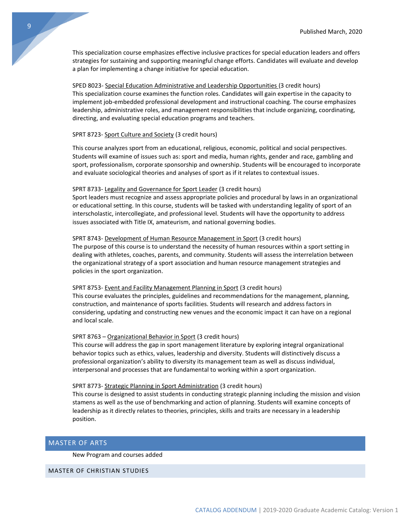This specialization course emphasizes effective inclusive practices for special education leaders and offers strategies for sustaining and supporting meaningful change efforts. Candidates will evaluate and develop a plan for implementing a change initiative for special education.

SPED 8023- Special Education Administrative and Leadership Opportunities (3 credit hours) This specialization course examines the function roles. Candidates will gain expertise in the capacity to implement job-embedded professional development and instructional coaching. The course emphasizes leadership, administrative roles, and management responsibilities that include organizing, coordinating, directing, and evaluating special education programs and teachers.

#### SPRT 8723- Sport Culture and Society (3 credit hours)

This course analyzes sport from an educational, religious, economic, political and social perspectives. Students will examine of issues such as: sport and media, human rights, gender and race, gambling and sport, professionalism, corporate sponsorship and ownership. Students will be encouraged to incorporate and evaluate sociological theories and analyses of sport as if it relates to contextual issues.

#### SPRT 8733- Legality and Governance for Sport Leader (3 credit hours)

Sport leaders must recognize and assess appropriate policies and procedural by laws in an organizational or educational setting. In this course, students will be tasked with understanding legality of sport of an interscholastic, intercollegiate, and professional level. Students will have the opportunity to address issues associated with Title IX, amateurism, and national governing bodies.

# SPRT 8743- Development of Human Resource Management in Sport (3 credit hours)

The purpose of this course is to understand the necessity of human resources within a sport setting in dealing with athletes, coaches, parents, and community. Students will assess the interrelation between the organizational strategy of a sport association and human resource management strategies and policies in the sport organization.

# SPRT 8753- Event and Facility Management Planning in Sport (3 credit hours)

This course evaluates the principles, guidelines and recommendations for the management, planning, construction, and maintenance of sports facilities. Students will research and address factors in considering, updating and constructing new venues and the economic impact it can have on a regional and local scale.

# SPRT 8763 - Organizational Behavior in Sport (3 credit hours)

This course will address the gap in sport management literature by exploring integral organizational behavior topics such as ethics, values, leadership and diversity. Students will distinctively discuss a professional organization's ability to diversity its management team as well as discuss individual, interpersonal and processes that are fundamental to working within a sport organization.

#### SPRT 8773- Strategic Planning in Sport Administration (3 credit hours)

This course is designed to assist students in conducting strategic planning including the mission and vision stamens as well as the use of benchmarking and action of planning. Students will examine concepts of leadership as it directly relates to theories, principles, skills and traits are necessary in a leadership position.

# <span id="page-9-0"></span>MASTER OF ARTS

New Program and courses added

# MASTER OF CHRISTIAN STUDIES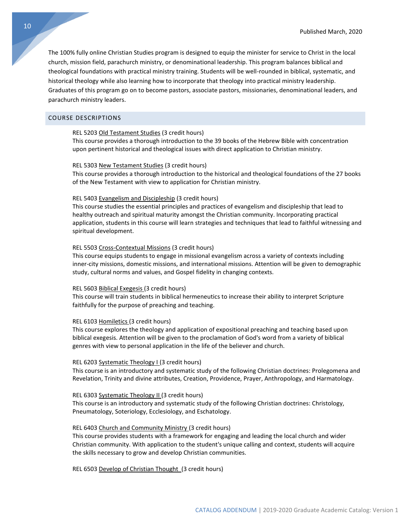The 100% fully online Christian Studies program is designed to equip the minister for service to Christ in the local church, mission field, parachurch ministry, or denominational leadership. This program balances biblical and theological foundations with practical ministry training. Students will be well-rounded in biblical, systematic, and historical theology while also learning how to incorporate that theology into practical ministry leadership. Graduates of this program go on to become pastors, associate pastors, missionaries, denominational leaders, and parachurch ministry leaders.

# COURSE DESCRIPTIONS

# REL 5203 Old Testament Studies (3 credit hours)

This course provides a thorough introduction to the 39 books of the Hebrew Bible with concentration upon pertinent historical and theological issues with direct application to Christian ministry.

# REL 5303 New Testament Studies (3 credit hours)

This course provides a thorough introduction to the historical and theological foundations of the 27 books of the New Testament with view to application for Christian ministry.

# REL 5403 Evangelism and Discipleship (3 credit hours)

This course studies the essential principles and practices of evangelism and discipleship that lead to healthy outreach and spiritual maturity amongst the Christian community. Incorporating practical application, students in this course will learn strategies and techniques that lead to faithful witnessing and spiritual development.

#### REL 5503 Cross-Contextual Missions (3 credit hours)

This course equips students to engage in missional evangelism across a variety of contexts including inner-city missions, domestic missions, and international missions. Attention will be given to demographic study, cultural norms and values, and Gospel fidelity in changing contexts.

#### REL 5603 Biblical Exegesis (3 credit hours)

This course will train students in biblical hermeneutics to increase their ability to interpret Scripture faithfully for the purpose of preaching and teaching.

# REL 6103 Homiletics (3 credit hours)

This course explores the theology and application of expositional preaching and teaching based upon biblical exegesis. Attention will be given to the proclamation of God's word from a variety of biblical genres with view to personal application in the life of the believer and church.

#### REL 6203 Systematic Theology I (3 credit hours)

This course is an introductory and systematic study of the following Christian doctrines: Prolegomena and Revelation, Trinity and divine attributes, Creation, Providence, Prayer, Anthropology, and Harmatology.

# REL 6303 Systematic Theology II (3 credit hours)

This course is an introductory and systematic study of the following Christian doctrines: Christology, Pneumatology, Soteriology, Ecclesiology, and Eschatology.

# REL 6403 Church and Community Ministry (3 credit hours)

This course provides students with a framework for engaging and leading the local church and wider Christian community. With application to the student's unique calling and context, students will acquire the skills necessary to grow and develop Christian communities.

REL 6503 Develop of Christian Thought (3 credit hours)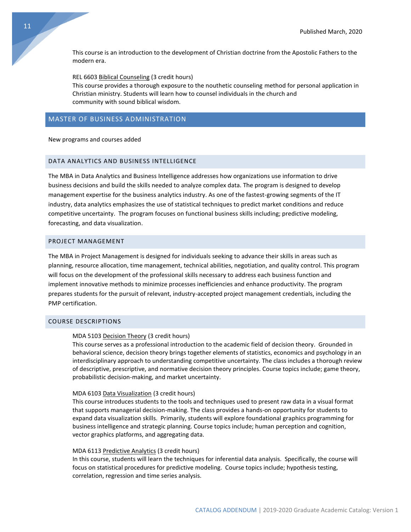This course is an introduction to the development of Christian doctrine from the Apostolic Fathers to the modern era.

REL 6603 Biblical Counseling (3 credit hours)

This course provides a thorough exposure to the nouthetic counseling method for personal application in Christian ministry. Students will learn how to counsel individuals in the church and community with sound biblical wisdom.

# <span id="page-11-0"></span>MASTER OF BUSINESS ADMINISTRATION

## New programs and courses added

# DATA ANALYTICS AND BUSINESS INTELLIGENCE

The MBA in Data Analytics and Business Intelligence addresses how organizations use information to drive business decisions and build the skills needed to analyze complex data. The program is designed to develop management expertise for the business analytics industry. As one of the fastest-growing segments of the IT industry, data analytics emphasizes the use of statistical techniques to predict market conditions and reduce competitive uncertainty. The program focuses on functional business skills including; predictive modeling, forecasting, and data visualization.

# PROJECT MANAGEMENT

The MBA in Project Management is designed for individuals seeking to advance their skills in areas such as planning, resource allocation, time management, technical abilities, negotiation, and quality control. This program will focus on the development of the professional skills necessary to address each business function and implement innovative methods to minimize processes inefficiencies and enhance productivity. The program prepares students for the pursuit of relevant, industry-accepted project management credentials, including the PMP certification.

# COURSE DESCRIPTIONS

## MDA 5103 Decision Theory (3 credit hours)

This course serves as a professional introduction to the academic field of decision theory. Grounded in behavioral science, decision theory brings together elements of statistics, economics and psychology in an interdisciplinary approach to understanding competitive uncertainty. The class includes a thorough review of descriptive, prescriptive, and normative decision theory principles. Course topics include; game theory, probabilistic decision-making, and market uncertainty.

#### MDA 6103 Data Visualization (3 credit hours)

This course introduces students to the tools and techniques used to present raw data in a visual format that supports managerial decision-making. The class provides a hands-on opportunity for students to expand data visualization skills. Primarily, students will explore foundational graphics programming for business intelligence and strategic planning. Course topics include; human perception and cognition, vector graphics platforms, and aggregating data.

# MDA 6113 Predictive Analytics (3 credit hours)

In this course, students will learn the techniques for inferential data analysis. Specifically, the course will focus on statistical procedures for predictive modeling. Course topics include; hypothesis testing, correlation, regression and time series analysis.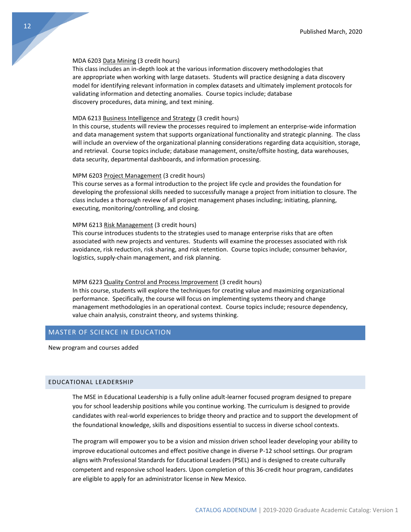#### MDA 6203 Data Mining (3 credit hours)

This class includes an in-depth look at the various information discovery methodologies that are appropriate when working with large datasets. Students will practice designing a data discovery model for identifying relevant information in complex datasets and ultimately implement protocols for validating information and detecting anomalies. Course topics include; database discovery procedures, data mining, and text mining.

# MDA 6213 Business Intelligence and Strategy (3 credit hours)

In this course, students will review the processes required to implement an enterprise-wide information and data management system that supports organizational functionality and strategic planning. The class will include an overview of the organizational planning considerations regarding data acquisition, storage, and retrieval. Course topics include; database management, onsite/offsite hosting, data warehouses, data security, departmental dashboards, and information processing.

#### MPM 6203 Project Management (3 credit hours)

This course serves as a formal introduction to the project life cycle and provides the foundation for developing the professional skills needed to successfully manage a project from initiation to closure. The class includes a thorough review of all project management phases including; initiating, planning, executing, monitoring/controlling, and closing.

# MPM 6213 Risk Management (3 credit hours)

This course introduces students to the strategies used to manage enterprise risks that are often associated with new projects and ventures. Students will examine the processes associated with risk avoidance, risk reduction, risk sharing, and risk retention. Course topics include; consumer behavior, logistics, supply-chain management, and risk planning.

# MPM 6223 Quality Control and Process Improvement (3 credit hours)

In this course, students will explore the techniques for creating value and maximizing organizational performance. Specifically, the course will focus on implementing systems theory and change management methodologies in an operational context. Course topics include; resource dependency, value chain analysis, constraint theory, and systems thinking.

# <span id="page-12-0"></span>MASTER OF SCIENCE IN EDUCATION

New program and courses added

# EDUCATIONAL LEADERSHIP

The MSE in Educational Leadership is a fully online adult-learner focused program designed to prepare you for school leadership positions while you continue working. The curriculum is designed to provide candidates with real-world experiences to bridge theory and practice and to support the development of the foundational knowledge, skills and dispositions essential to success in diverse school contexts.

The program will empower you to be a vision and mission driven school leader developing your ability to improve educational outcomes and effect positive change in diverse P-12 school settings. Our program aligns with Professional Standards for Educational Leaders (PSEL) and is designed to create culturally competent and responsive school leaders. Upon completion of this 36-credit hour program, candidates are eligible to apply for an administrator license in New Mexico.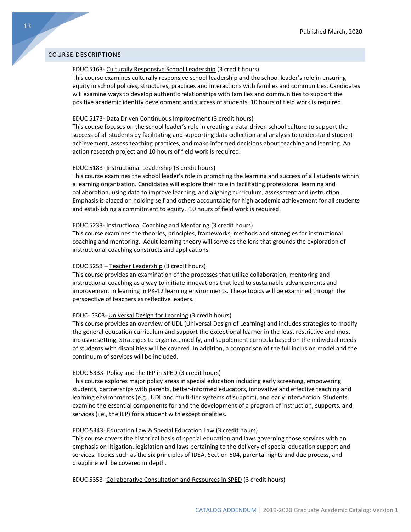# COURSE DESCRIPTIONS

# EDUC 5163- Culturally Responsive School Leadership (3 credit hours)

This course examines culturally responsive school leadership and the school leader's role in ensuring equity in school policies, structures, practices and interactions with families and communities. Candidates will examine ways to develop authentic relationships with families and communities to support the positive academic identity development and success of students. 10 hours of field work is required.

# EDUC 5173- Data Driven Continuous Improvement (3 credit hours)

This course focuses on the school leader's role in creating a data-driven school culture to support the success of all students by facilitating and supporting data collection and analysis to understand student achievement, assess teaching practices, and make informed decisions about teaching and learning. An action research project and 10 hours of field work is required.

## EDUC 5183- Instructional Leadership (3 credit hours)

This course examines the school leader's role in promoting the learning and success of all students within a learning organization. Candidates will explore their role in facilitating professional learning and collaboration, using data to improve learning, and aligning curriculum, assessment and instruction. Emphasis is placed on holding self and others accountable for high academic achievement for all students and establishing a commitment to equity. 10 hours of field work is required.

# EDUC 5233- Instructional Coaching and Mentoring (3 credit hours)

This course examines the theories, principles, frameworks, methods and strategies for instructional coaching and mentoring. Adult learning theory will serve as the lens that grounds the exploration of instructional coaching constructs and applications.

# EDUC 5253 – Teacher Leadership (3 credit hours)

This course provides an examination of the processes that utilize collaboration, mentoring and instructional coaching as a way to initiate innovations that lead to sustainable advancements and improvement in learning in PK-12 learning environments. These topics will be examined through the perspective of teachers as reflective leaders.

#### EDUC- 5303- Universal Design for Learning (3 credit hours)

This course provides an overview of UDL (Universal Design of Learning) and includes strategies to modify the general education curriculum and support the exceptional learner in the least restrictive and most inclusive setting. Strategies to organize, modify, and supplement curricula based on the individual needs of students with disabilities will be covered. In addition, a comparison of the full inclusion model and the continuum of services will be included.

# EDUC-5333- Policy and the IEP in SPED (3 credit hours)

This course explores major policy areas in special education including early screening, empowering students, partnerships with parents, better-informed educators, innovative and effective teaching and learning environments (e.g., UDL and multi-tier systems of support), and early intervention. Students examine the essential components for and the development of a program of instruction, supports, and services (i.e., the IEP) for a student with exceptionalities.

#### EDUC-5343- Education Law & Special Education Law (3 credit hours)

This course covers the historical basis of special education and laws governing those services with an emphasis on litigation, legislation and laws pertaining to the delivery of special education support and services. Topics such as the six principles of IDEA, Section 504, parental rights and due process, and discipline will be covered in depth.

EDUC 5353- Collaborative Consultation and Resources in SPED (3 credit hours)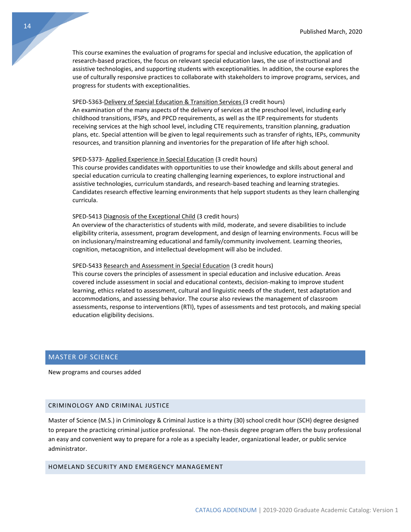This course examines the evaluation of programs for special and inclusive education, the application of research-based practices, the focus on relevant special education laws, the use of instructional and assistive technologies, and supporting students with exceptionalities. In addition, the course explores the use of culturally responsive practices to collaborate with stakeholders to improve programs, services, and progress for students with exceptionalities.

#### SPED-5363-Delivery of Special Education & Transition Services (3 credit hours)

An examination of the many aspects of the delivery of services at the preschool level, including early childhood transitions, IFSPs, and PPCD requirements, as well as the IEP requirements for students receiving services at the high school level, including CTE requirements, transition planning, graduation plans, etc. Special attention will be given to legal requirements such as transfer of rights, IEPs, community resources, and transition planning and inventories for the preparation of life after high school.

## SPED-5373- Applied Experience in Special Education (3 credit hours)

This course provides candidates with opportunities to use their knowledge and skills about general and special education curricula to creating challenging learning experiences, to explore instructional and assistive technologies, curriculum standards, and research-based teaching and learning strategies. Candidates research effective learning environments that help support students as they learn challenging curricula.

#### SPED-5413 Diagnosis of the Exceptional Child (3 credit hours)

An overview of the characteristics of students with mild, moderate, and severe disabilities to include eligibility criteria, assessment, program development, and design of learning environments. Focus will be on inclusionary/mainstreaming educational and family/community involvement. Learning theories, cognition, metacognition, and intellectual development will also be included.

# SPED-5433 Research and Assessment in Special Education (3 credit hours)

This course covers the principles of assessment in special education and inclusive education. Areas covered include assessment in social and educational contexts, decision-making to improve student learning, ethics related to assessment, cultural and linguistic needs of the student, test adaptation and accommodations, and assessing behavior. The course also reviews the management of classroom assessments, response to interventions (RTI), types of assessments and test protocols, and making special education eligibility decisions.

# <span id="page-14-0"></span>MASTER OF SCIENCE

New programs and courses added

# CRIMINOLOGY AND CRIMINAL JUSTICE

Master of Science (M.S.) in Criminology & Criminal Justice is a thirty (30) school credit hour (SCH) degree designed to prepare the practicing criminal justice professional. The non-thesis degree program offers the busy professional an easy and convenient way to prepare for a role as a specialty leader, organizational leader, or public service administrator.

# HOMELAND SECURITY AND EMERGENCY MANAGEMENT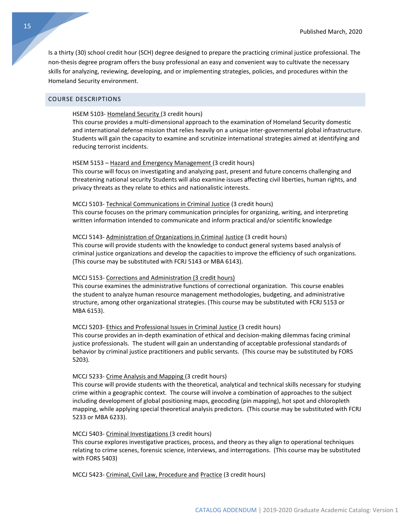Is a thirty (30) school credit hour (SCH) degree designed to prepare the practicing criminal justice professional. The non-thesis degree program offers the busy professional an easy and convenient way to cultivate the necessary skills for analyzing, reviewing, developing, and or implementing strategies, policies, and procedures within the Homeland Security environment.

# COURSE DESCRIPTIONS

# HSEM 5103- Homeland Security (3 credit hours)

This course provides a multi-dimensional approach to the examination of Homeland Security domestic and international defense mission that relies heavily on a unique inter-governmental global infrastructure. Students will gain the capacity to examine and scrutinize international strategies aimed at identifying and reducing terrorist incidents.

#### HSEM 5153 – Hazard and Emergency Management (3 credit hours)

This course will focus on investigating and analyzing past, present and future concerns challenging and threatening national security Students will also examine issues affecting civil liberties, human rights, and privacy threats as they relate to ethics and nationalistic interests.

#### MCCJ 5103- Technical Communications in Criminal Justice (3 credit hours)

This course focuses on the primary communication principles for organizing, writing, and interpreting written information intended to communicate and inform practical and/or scientific knowledge

#### MCCJ 5143- Administration of Organizations in Criminal Justice (3 credit hours)

This course will provide students with the knowledge to conduct general systems based analysis of criminal justice organizations and develop the capacities to improve the efficiency of such organizations. (This course may be substituted with FCRJ 5143 or MBA 6143).

#### MCCJ 5153- Corrections and Administration (3 credit hours)

This course examines the administrative functions of correctional organization. This course enables the student to analyze human resource management methodologies, budgeting, and administrative structure, among other organizational strategies. (This course may be substituted with FCRJ 5153 or MBA 6153).

# MCCJ 5203- Ethics and Professional Issues in Criminal Justice (3 credit hours)

This course provides an in-depth examination of ethical and decision-making dilemmas facing criminal justice professionals. The student will gain an understanding of acceptable professional standards of behavior by criminal justice practitioners and public servants. (This course may be substituted by FORS 5203).

# MCCJ 5233- Crime Analysis and Mapping (3 credit hours)

This course will provide students with the theoretical, analytical and technical skills necessary for studying crime within a geographic context. The course will involve a combination of approaches to the subject including development of global positioning maps, geocoding (pin mapping), hot spot and chloropleth mapping, while applying special theoretical analysis predictors. (This course may be substituted with FCRJ 5233 or MBA 6233).

# MCCJ 5403- Criminal Investigations (3 credit hours)

This course explores investigative practices, process, and theory as they align to operational techniques relating to crime scenes, forensic science, interviews, and interrogations. (This course may be substituted with FORS 5403)

MCCJ 5423- Criminal, Civil Law, Procedure and Practice (3 credit hours)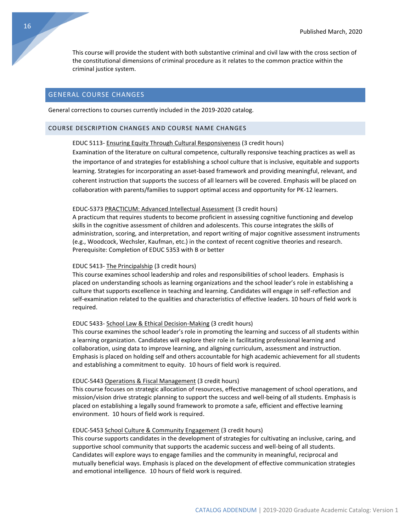This course will provide the student with both substantive criminal and civil law with the cross section of the constitutional dimensions of criminal procedure as it relates to the common practice within the criminal justice system.

# <span id="page-16-0"></span>GENERAL COURSE CHANGES

General corrections to courses currently included in the 2019-2020 catalog.

# COURSE DESCRIPTION CHANGES AND COURSE NAME CHANGES

# EDUC 5113- Ensuring Equity Through Cultural Responsiveness (3 credit hours)

Examination of the literature on cultural competence, culturally responsive teaching practices as well as the importance of and strategies for establishing a school culture that is inclusive, equitable and supports learning. Strategies for incorporating an asset-based framework and providing meaningful, relevant, and coherent instruction that supports the success of all learners will be covered. Emphasis will be placed on collaboration with parents/families to support optimal access and opportunity for PK-12 learners.

#### EDUC-5373 PRACTICUM: Advanced Intellectual Assessment (3 credit hours)

A practicum that requires students to become proficient in assessing cognitive functioning and develop skills in the cognitive assessment of children and adolescents. This course integrates the skills of administration, scoring, and interpretation, and report writing of major cognitive assessment instruments (e.g., Woodcock, Wechsler, Kaufman, etc.) in the context of recent cognitive theories and research. Prerequisite: Completion of EDUC 5353 with B or better

# EDUC 5413- The Principalship (3 credit hours)

This course examines school leadership and roles and responsibilities of school leaders. Emphasis is placed on understanding schools as learning organizations and the school leader's role in establishing a culture that supports excellence in teaching and learning. Candidates will engage in self-reflection and self-examination related to the qualities and characteristics of effective leaders. 10 hours of field work is required.

#### EDUC 5433- School Law & Ethical Decision-Making (3 credit hours)

This course examines the school leader's role in promoting the learning and success of all students within a learning organization. Candidates will explore their role in facilitating professional learning and collaboration, using data to improve learning, and aligning curriculum, assessment and instruction. Emphasis is placed on holding self and others accountable for high academic achievement for all students and establishing a commitment to equity. 10 hours of field work is required.

# EDUC-5443 Operations & Fiscal Management (3 credit hours)

This course focuses on strategic allocation of resources, effective management of school operations, and mission/vision drive strategic planning to support the success and well-being of all students. Emphasis is placed on establishing a legally sound framework to promote a safe, efficient and effective learning environment. 10 hours of field work is required.

# EDUC-5453 School Culture & Community Engagement (3 credit hours)

This course supports candidates in the development of strategies for cultivating an inclusive, caring, and supportive school community that supports the academic success and well-being of all students. Candidates will explore ways to engage families and the community in meaningful, reciprocal and mutually beneficial ways. Emphasis is placed on the development of effective communication strategies and emotional intelligence. 10 hours of field work is required.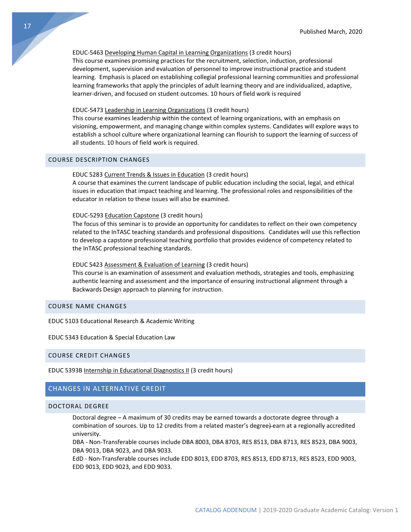# EDUC-5463 Developing Human Capital in Learning Organizations (3 credit hours)

This course examines promising practices for the recruitment, selection, induction, professional development, supervision and evaluation of personnel to improve instructional practice and student learning. Emphasis is placed on establishing collegial professional learning communities and professional learning frameworks that apply the principles of adult learning theory and are individualized, adaptive, learner-driven, and focused on student outcomes. 10 hours of field work is required

# EDUC-5473 Leadership in Learning Organizations (3 credit hours)

This course examines leadership within the context of learning organizations, with an emphasis on visioning, empowerment, and managing change within complex systems. Candidates will explore ways to establish a school culture where organizational learning can flourish to support the learning of success of all students. 10 hours of field work is required.

# COURSE DESCRIPTION CHANGES

#### EDUC 5283 Current Trends & Issues in Education (3 credit hours)

A course that examines the current landscape of public education including the social, legal, and ethical issues in education that impact teaching and learning. The professional roles and responsibilities of the educator in relation to these issues will also be examined.

#### EDUC-5293 Education Capstone (3 credit hours)

The focus of this seminar is to provide an opportunity for candidates to reflect on their own competency related to the InTASC teaching standards and professional dispositions. Candidates will use this reflection to develop a capstone professional teaching portfolio that provides evidence of competency related to the InTASC professional teaching standards.

# EDUC 5423 Assessment & Evaluation of Learning (3 credit hours)

This course is an examination of assessment and evaluation methods, strategies and tools, emphasizing authentic learning and assessment and the importance of ensuring instructional alignment through a Backwards Design approach to planning for instruction.

# COURSE NAME CHANGES

EDUC 5103 Educational Research & Academic Writing

# EDUC 5343 Education & Special Education Law

# COURSE CREDIT CHANGES

EDUC 5393B Internship in Educational Diagnostics II (3 credit hours)

# <span id="page-17-0"></span>CHANGES IN ALTERNATIVE CREDIT

# DOCTORAL DEGREE

Doctoral degree – A maximum of 30 credits may be earned towards a doctorate degree through a combination of sources. Up to 12 credits from a related master's degree) earn at a regionally accredited university.

DBA - Non-Transferable courses include DBA 8003, DBA 8703, RES 8513, DBA 8713, RES 8523, DBA 9003, DBA 9013, DBA 9023, and DBA 9033.

EdD - Non-Transferable courses include EDD 8013, EDD 8703, RES 8513, EDD 8713, RES 8523, EDD 9003, EDD 9013, EDD 9023, and EDD 9033.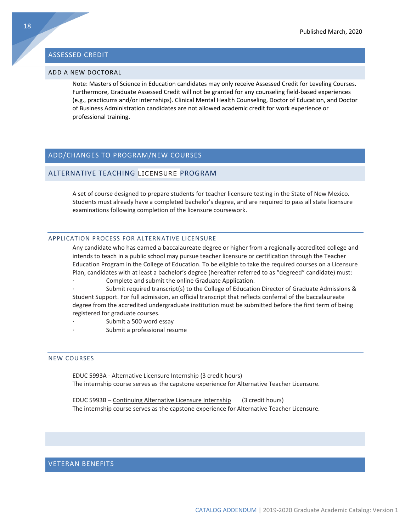# <span id="page-18-0"></span>ASSESSED CREDIT

# ADD A NEW DOCTORAL

Note: Masters of Science in Education candidates may only receive Assessed Credit for Leveling Courses. Furthermore, Graduate Assessed Credit will not be granted for any counseling field-based experiences (e.g., practicums and/or internships). Clinical Mental Health Counseling, Doctor of Education, and Doctor of Business Administration candidates are not allowed academic credit for work experience or professional training.

# <span id="page-18-1"></span>ADD/CHANGES TO PROGRAM/NEW COURSES

# ALTERNATIVE TEACHING LICENSURE PROGRAM

A set of course designed to prepare students for teacher licensure testing in the State of New Mexico. Students must already have a completed bachelor's degree, and are required to pass all state licensure examinations following completion of the licensure coursework.

# APPLICATION PROCESS FOR ALTERNATIVE LICENSURE

Any candidate who has earned a baccalaureate degree or higher from a regionally accredited college and intends to teach in a public school may pursue teacher licensure or certification through the Teacher Education Program in the College of Education. To be eligible to take the required courses on a Licensure Plan, candidates with at least a bachelor's degree (hereafter referred to as "degreed" candidate) must:

Complete and submit the online Graduate Application.

Submit required transcript(s) to the College of Education Director of Graduate Admissions & Student Support. For full admission, an official transcript that reflects conferral of the baccalaureate degree from the accredited undergraduate institution must be submitted before the first term of being registered for graduate courses.

- Submit a 500 word essay
	- Submit a professional resume

# NEW COURSES

EDUC 5993A - Alternative Licensure Internship (3 credit hours) The internship course serves as the capstone experience for Alternative Teacher Licensure.

EDUC 5993B – Continuing Alternative Licensure Internship (3 credit hours) The internship course serves as the capstone experience for Alternative Teacher Licensure.

# <span id="page-18-2"></span>VETERAN BENEFITS